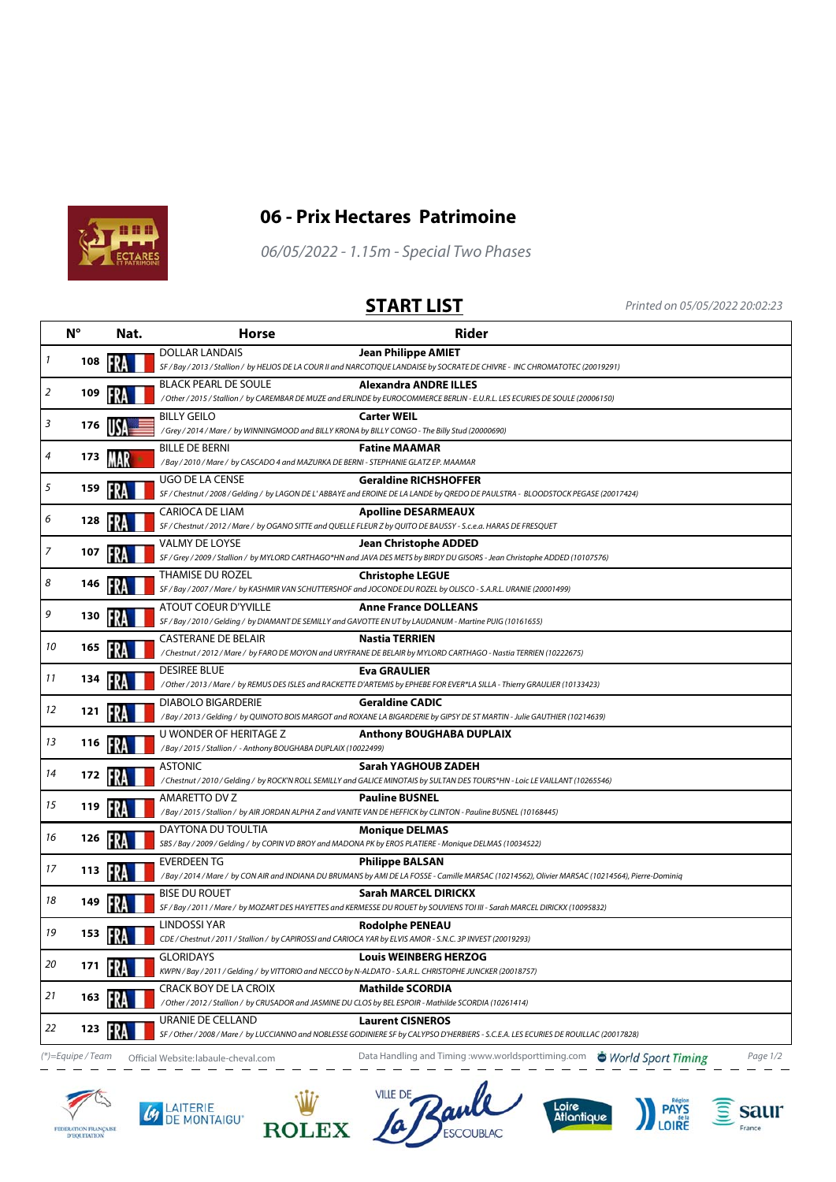



## **06 - Prix Hectares Patrimoine**

06/05/2022 - 1.15m - Special Two Phases

**START LIST** Printed on 05/05/2022 20:02:23

|                            | $N^{\circ}$ | Nat. | <b>Horse</b>                                                                                                                      | <b>Rider</b>                                                                                                                                                               |
|----------------------------|-------------|------|-----------------------------------------------------------------------------------------------------------------------------------|----------------------------------------------------------------------------------------------------------------------------------------------------------------------------|
| $\boldsymbol{\mathcal{I}}$ | 108         |      | <b>DOLLAR LANDAIS</b>                                                                                                             | <b>Jean Philippe AMIET</b><br>SF / Bay / 2013 / Stallion / by HELIOS DE LA COUR II and NARCOTIQUE LANDAISE by SOCRATE DE CHIVRE - INC CHROMATOTEC (20019291)               |
| $\overline{2}$             | 109         |      | <b>BLACK PEARL DE SOULE</b>                                                                                                       | <b>Alexandra ANDRE ILLES</b><br>/ Other / 2015 / Stallion / by CAREMBAR DE MUZE and ERLINDE by EUROCOMMERCE BERLIN - E.U.R.L. LES ECURIES DE SOULE (20006150)              |
| 3                          | 176         |      | BILLY GEILO<br>/Grey / 2014 / Mare / by WINNINGMOOD and BILLY KRONA by BILLY CONGO - The Billy Stud (20000690)                    | <b>Carter WEIL</b>                                                                                                                                                         |
| 4                          | 173         |      | <b>BILLE DE BERNI</b><br>/Bay / 2010 / Mare / by CASCADO 4 and MAZURKA DE BERNI - STEPHANIE GLATZ EP. MAAMAR                      | <b>Fatine MAAMAR</b>                                                                                                                                                       |
| 5                          | 159         |      | UGO DE LA CENSE                                                                                                                   | <b>Geraldine RICHSHOFFER</b><br>SF / Chestnut / 2008 / Gelding / by LAGON DE L'ABBAYE and EROINE DE LA LANDE by QREDO DE PAULSTRA - BLOODSTOCK PEGASE (20017424)           |
| 6                          | 128         |      | CARIOCA DE LIAM                                                                                                                   | <b>Apolline DESARMEAUX</b><br>SF / Chestnut / 2012 / Mare / by OGANO SITTE and QUELLE FLEUR Z by QUITO DE BAUSSY - S.c.e.a. HARAS DE FRESQUET                              |
| $\overline{7}$             | 107         |      | VALMY DE LOYSE                                                                                                                    | Jean Christophe ADDED<br>SF / Grey / 2009 / Stallion / by MYLORD CARTHAGO*HN and JAVA DES METS by BIRDY DU GISORS - Jean Christophe ADDED (10107576)                       |
| 8                          | 146         |      | THAMISE DU ROZEL                                                                                                                  | <b>Christophe LEGUE</b><br>SF / Bay / 2007 / Mare / by KASHMIR VAN SCHUTTERSHOF and JOCONDE DU ROZEL by OLISCO - S.A.R.L. URANIE (20001499)                                |
| 9                          | 130         |      | ATOUT COEUR D'YVILLE<br>SF / Bay / 2010 / Gelding / by DIAMANT DE SEMILLY and GAVOTTE EN UT by LAUDANUM - Martine PUIG (10161655) | <b>Anne France DOLLEANS</b>                                                                                                                                                |
| 10                         | 165         |      | <b>CASTERANE DE BELAIR</b>                                                                                                        | <b>Nastia TERRIEN</b><br>/ Chestnut / 2012 / Mare / by FARO DE MOYON and URYFRANE DE BELAIR by MYLORD CARTHAGO - Nastia TERRIEN (10222675)                                 |
| 11                         | 134         |      | <b>DESIREE BLUE</b>                                                                                                               | <b>Eva GRAULIER</b><br>/ Other / 2013 / Mare / by REMUS DES ISLES and RACKETTE D'ARTEMIS by EPHEBE FOR EVER*LA SILLA - Thierry GRAULIER (10133423)                         |
| 12                         | 121         |      | <b>DIABOLO BIGARDERIE</b>                                                                                                         | <b>Geraldine CADIC</b><br>/Bay / 2013 / Gelding / by QUINOTO BOIS MARGOT and ROXANE LA BIGARDERIE by GIPSY DE ST MARTIN - Julie GAUTHIER (10214639)                        |
| 13                         | 116         |      | U WONDER OF HERITAGE Z<br>/Bay / 2015 / Stallion / - Anthony BOUGHABA DUPLAIX (10022499)                                          | <b>Anthony BOUGHABA DUPLAIX</b>                                                                                                                                            |
| 14                         | 172         |      | <b>ASTONIC</b>                                                                                                                    | <b>Sarah YAGHOUB ZADEH</b><br>/ Chestnut / 2010 / Gelding / by ROCK'N ROLL SEMILLY and GALICE MINOTAIS by SULTAN DES TOURS*HN - Loic LE VAILLANT (10265546)                |
| 15                         | 119         |      | <b>AMARETTO DV Z</b>                                                                                                              | <b>Pauline BUSNEL</b><br>/Bay / 2015 / Stallion / by AIR JORDAN ALPHA Z and VANITE VAN DE HEFFICK by CLINTON - Pauline BUSNEL (10168445)                                   |
| 16                         | 126         |      | DAYTONA DU TOULTIA<br>SBS / Bay / 2009 / Gelding / by COPIN VD BROY and MADONA PK by EROS PLATIERE - Monique DELMAS (10034522)    | <b>Monique DELMAS</b>                                                                                                                                                      |
| 17                         | 113         |      | <b>EVERDEEN TG</b>                                                                                                                | <b>Philippe BALSAN</b><br>/Bay / 2014 / Mare / by CON AIR and INDIANA DU BRUMANS by AMI DE LA FOSSE - Camille MARSAC (10214562), Olivier MARSAC (10214564), Pierre-Dominiq |
| 18                         | 149         |      | BISE DU ROUET                                                                                                                     | Sarah MARCEL DIRICKX<br>SF / Bay / 2011 / Mare / by MOZART DES HAYETTES and KERMESSE DU ROUET by SOUVIENS TOI III - Sarah MARCEL DIRICKX (10095832)                        |
| 19                         | 153         |      | LINDOSSI YAR<br>CDE / Chestnut / 2011 / Stallion / by CAPIROSSI and CARIOCA YAR by ELVIS AMOR - S.N.C. 3P INVEST (20019293)       | <b>Rodolphe PENEAU</b>                                                                                                                                                     |
| 20                         | 171         |      | GLORIDAYS<br>KWPN / Bay / 2011 / Gelding / by VITTORIO and NECCO by N-ALDATO - S.A.R.L. CHRISTOPHE JUNCKER (20018757)             | <b>Louis WEINBERG HERZOG</b>                                                                                                                                               |
| 21                         | 163         |      | CRACK BOY DE LA CROIX<br>/Other / 2012 / Stallion / by CRUSADOR and JASMINE DU CLOS by BEL ESPOIR - Mathilde SCORDIA (10261414)   | <b>Mathilde SCORDIA</b>                                                                                                                                                    |
| 22                         | 123         |      | URANIE DE CELLAND                                                                                                                 | <b>Laurent CISNEROS</b><br>SF / Other / 2008 / Mare / by LUCCIANNO and NOBLESSE GODINIERE SF by CALYPSO D'HERBIERS - S.C.E.A. LES ECURIES DE ROUILLAC (20017828)           |

(\*)=Equipe / Team Official Website: labaule-cheval.com Data Handling and Timing :www.worldsporttiming.com  $\bullet$  World Sport Timing  $\bullet$  Page 1/2











**PAYS**<br>LOIRE